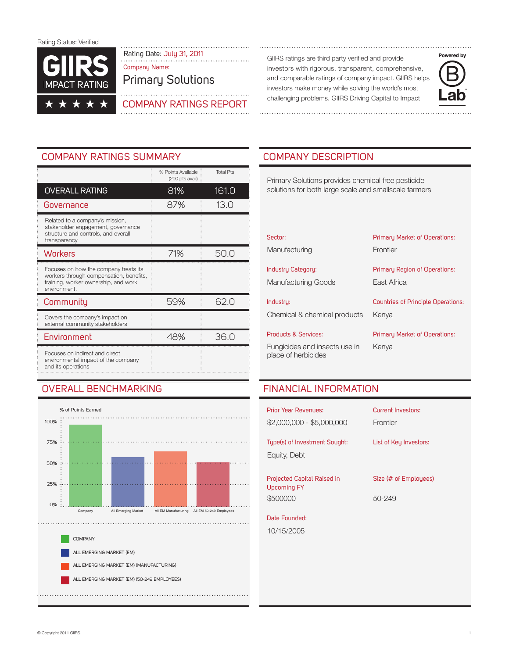

Rating Date: July 31, 2011 Community Communisty Communisty are third party verified and provide Company Name:

Primary Solutions



investors with rigorous, transparent, comprehensive, and comparable ratings of company impact. GIIRS helps investors make money while solving the world's most challenging problems. GIIRS Driving Capital to Impact



# COMPANY RATINGS SUMMARY COMPANY DESCRIPTION

|                                                                                                                                          | % Points Available<br>(200 pts avail) | <b>Total Pts</b> |
|------------------------------------------------------------------------------------------------------------------------------------------|---------------------------------------|------------------|
| <b>OVERALL RATING</b>                                                                                                                    | 81%                                   | 161.0            |
| Governance                                                                                                                               | 87%                                   | 13.0             |
| Related to a company's mission,<br>stakeholder engagement, governance<br>structure and controls, and overall<br>transparency             |                                       |                  |
| <b>Workers</b>                                                                                                                           | 71%                                   | 50.0             |
| Focuses on how the company treats its<br>workers through compensation, benefits,<br>training, worker ownership, and work<br>environment. |                                       |                  |
| Community                                                                                                                                | 59%                                   | 62.0             |
| Covers the company's impact on<br>external community stakeholders                                                                        |                                       |                  |
| Environment                                                                                                                              | 48%                                   | 36.0             |
| Focuses on indirect and direct<br>environmental impact of the company<br>and its operations                                              |                                       |                  |

# OVERALL benchmarking



Primary Solutions provides chemical free pesticide solutions for both large scale and smallscale farmers

| Sector:                                          | Primary Market of Operations:                |
|--------------------------------------------------|----------------------------------------------|
| Manufacturing                                    | Frontier                                     |
| Industry Category:<br><b>Manufacturing Goods</b> | Primary Region of Operations:<br>East Africa |
| Industry:                                        | <b>Countries of Principle Operations:</b>    |
| Chemical & chemical products                     | Kenya                                        |
| <b>Products &amp; Services:</b>                  | Primary Market of Operations:                |
| Fungicides and insects use in                    | Kenva                                        |

place of herbicides

# Financial Information

| <b>Prior Year Revenues:</b><br>$$2,000,000 - $5,000,000$      | Current Investors:<br>Frontier  |
|---------------------------------------------------------------|---------------------------------|
| Type(s) of Investment Sought:<br>Equity, Debt                 | List of Key Investors:          |
| Projected Capital Raised in<br><b>Upcoming FY</b><br>\$500000 | Size (# of Emplouees)<br>50-249 |
| Date Founded:<br>10/15/2005                                   |                                 |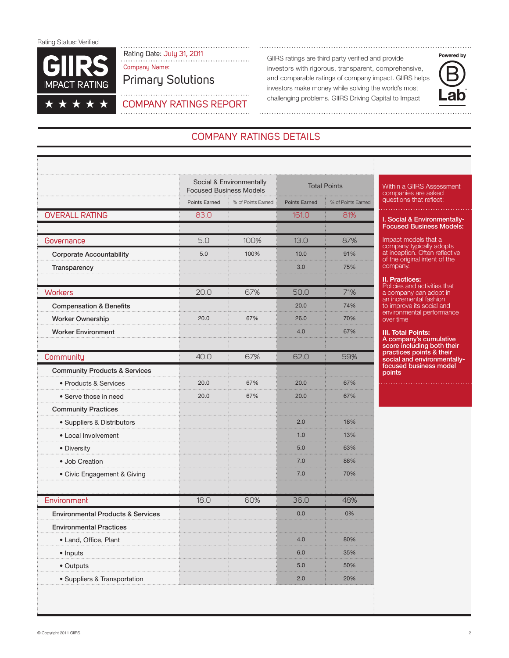

Rating Date: July 31, 2011<br>
GIIRS ratings are third party verified and provide<br>
GIIRS ratings are third party verified and provide Company Name:

Company Ratings Report

Primary Solutions

investors with rigorous, transparent, comprehensive, and comparable ratings of company impact. GIIRS helps investors make money while solving the world's most challenging problems. GIIRS Driving Capital to Impact



# Company RATINGS DETAILS

|                                              | Social & Environmentally<br><b>Focused Business Models</b> |                    | <b>Total Points</b>  |                    |
|----------------------------------------------|------------------------------------------------------------|--------------------|----------------------|--------------------|
|                                              | Points Earned                                              | % of Points Earned | <b>Points Earned</b> | % of Points Earned |
| <b>OVERALL RATING</b>                        | 83.0                                                       |                    | 161.0                | 81%                |
| Governance                                   | 5.0                                                        | 100%               | 13.0                 | 87%                |
| <b>Corporate Accountability</b>              | 5.0                                                        | 100%               | 10.0                 | 91%                |
| Transparency                                 |                                                            |                    | 3.0                  | 75%                |
| <b>Workers</b>                               | 20.0                                                       | 67%                | 50.0                 | 71%                |
| <b>Compensation &amp; Benefits</b>           |                                                            |                    | 20.0                 | 74%                |
| Worker Ownership                             | 20.0                                                       | 67%                | 26.0                 | 70%                |
| <b>Worker Environment</b>                    |                                                            |                    | 4.0                  | 67%                |
| Community                                    | 40.0                                                       | 67%                | 62.0                 | 59%                |
| <b>Community Products &amp; Services</b>     |                                                            |                    |                      |                    |
| • Products & Services                        | 20.0                                                       | 67%                | 20.0                 | 67%                |
| • Serve those in need                        | 20.0                                                       | 67%                | 20.0                 | 67%                |
| <b>Community Practices</b>                   |                                                            |                    |                      |                    |
| · Suppliers & Distributors                   |                                                            |                    | 2.0                  | 18%                |
| • Local Involvement                          |                                                            |                    | 1.0                  | 13%                |
| • Diversity                                  |                                                            |                    | 5.0                  | 63%                |
| · Job Creation                               |                                                            |                    | 7.0<br>.             | 88%                |
| • Civic Engagement & Giving                  |                                                            |                    | 7.0                  | 70%                |
| Environment                                  | 18.0                                                       | 60%                | 36.0                 | 48%                |
| <b>Environmental Products &amp; Services</b> |                                                            |                    | 0.0                  | 0%                 |
| <b>Environmental Practices</b>               |                                                            |                    |                      |                    |
| · Land, Office, Plant                        |                                                            |                    | 4.0                  | 80%                |
| • Inputs                                     |                                                            |                    | 6.0                  | 35%                |
| • Outputs                                    |                                                            |                    | 5.0                  | 50%                |
| · Suppliers & Transportation                 |                                                            |                    | 2.0                  | 20%                |

Within a GIIRS Assessment companies are asked questions that reflect:

. Social & Environmentally-Focused Business Models:

Impact models that a company typically adopts at inception. Often reflective of the original intent of the company.

**II. Practices:** Policies and activities that a company can adopt in an incremental fashion to improve its social and environmental performance

over time

**III. Total Points:** A company's cumulative score including both their practices points & their social and environmentallyfocused business model points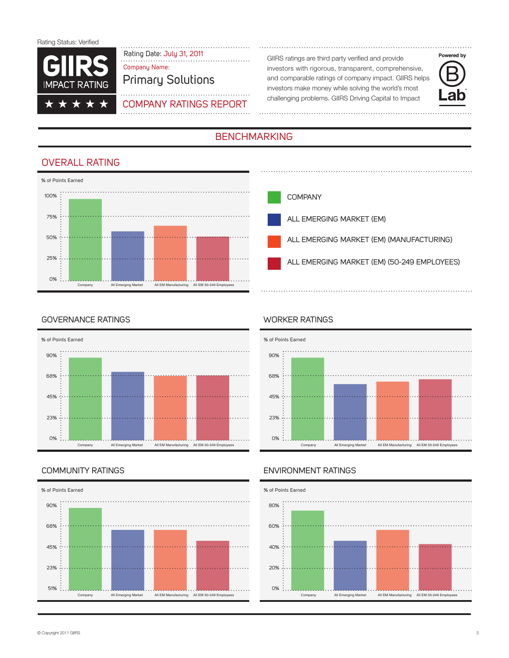

# Rating Date: July 31, 2011<br>
Fig. comparison and provide GIIRS ratings are third party verified and provide Company Name:

# Primary Solutions

# Company Ratings Report

investors with rigorous, transparent, comprehensive, and comparable ratings of company impact. GIIRS helps investors make money while solving the world's most challenging problems. GIIRS Driving Capital to Impact



# **BENCHMARKING**

# OVERALL RATING





## Governance Ratings



## Community Ratings



## Worker Ratings



## Environment Ratings

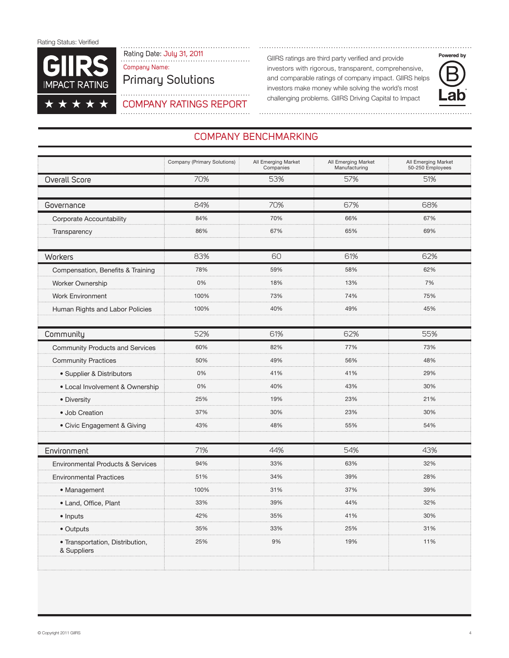

. . . . . . . . . . . . . . . . Rating Date: July 31, 2011 (and the Call Catings are third party verified and provide intercomponent control of Company Name:

Primary Solutions

. . . . .

investors with rigorous, transparent, comprehensive, and comparable ratings of company impact. GIIRS helps investors make money while solving the world's most challenging problems. GIIRS Driving Capital to Impact



## Company Ratings Report

# COMPANY BENCHMARKING

|                                                | Company (Primary Solutions) | All Emerging Market<br>Companies | All Emerging Market<br>Manufacturing | All Emerging Market<br>50-250 Employees |
|------------------------------------------------|-----------------------------|----------------------------------|--------------------------------------|-----------------------------------------|
| <b>Overall Score</b>                           | 70%                         | 53%                              | 57%                                  | 51%                                     |
|                                                |                             |                                  |                                      |                                         |
| Governance                                     | 84%                         | 70%                              | 67%                                  | 68%                                     |
| Corporate Accountability                       | 84%                         | 70%                              | 66%                                  | 67%                                     |
| Transparency                                   | 86%                         | 67%                              | 65%                                  | 69%                                     |
|                                                |                             |                                  |                                      |                                         |
| Workers                                        | 83%                         | 60                               | 61%                                  | 62%                                     |
| Compensation, Benefits & Training              | 78%                         | 59%                              | 58%                                  | 62%                                     |
| <b>Worker Ownership</b>                        | 0%                          | 18%                              | 13%                                  | 7%                                      |
| <b>Work Environment</b>                        | 100%                        | 73%                              | 74%                                  | 75%                                     |
| Human Rights and Labor Policies                | 100%                        | 40%                              | 49%                                  | 45%                                     |
|                                                |                             |                                  |                                      |                                         |
| Community                                      | 52%                         | 61%                              | 62%                                  | 55%                                     |
| <b>Community Products and Services</b>         | 60%                         | 82%                              | 77%                                  | 73%                                     |
| <b>Community Practices</b>                     | 50%                         | 49%                              | 56%                                  | 48%                                     |
| • Supplier & Distributors                      | 0%                          | 41%                              | 41%                                  | 29%                                     |
| · Local Involvement & Ownership                | 0%                          | 40%                              | 43%                                  | 30%                                     |
| • Diversity                                    | 25%                         | 19%                              | 23%                                  | 21%                                     |
| • Job Creation                                 | 37%                         | 30%                              | 23%                                  | 30%                                     |
| • Civic Engagement & Giving                    | 43%                         | 48%                              | 55%                                  | 54%                                     |
|                                                |                             |                                  |                                      |                                         |
| Environment                                    | 71%                         | 44%                              | 54%                                  | 43%                                     |
| <b>Environmental Products &amp; Services</b>   | 94%                         | 33%                              | 63%                                  | 32%                                     |
| <b>Environmental Practices</b>                 | 51%                         | 34%                              | 39%                                  | 28%                                     |
| • Management                                   | 100%                        | 31%                              | 37%                                  | 39%                                     |
| • Land, Office, Plant                          | 33%                         | 39%                              | 44%                                  | 32%                                     |
| • Inputs                                       | 42%                         | 35%                              | 41%                                  | 30%                                     |
| • Outputs                                      | 35%                         | 33%                              | 25%                                  | 31%                                     |
| • Transportation, Distribution,<br>& Suppliers | 25%                         | 9%                               | 19%                                  | 11%                                     |
|                                                |                             |                                  |                                      |                                         |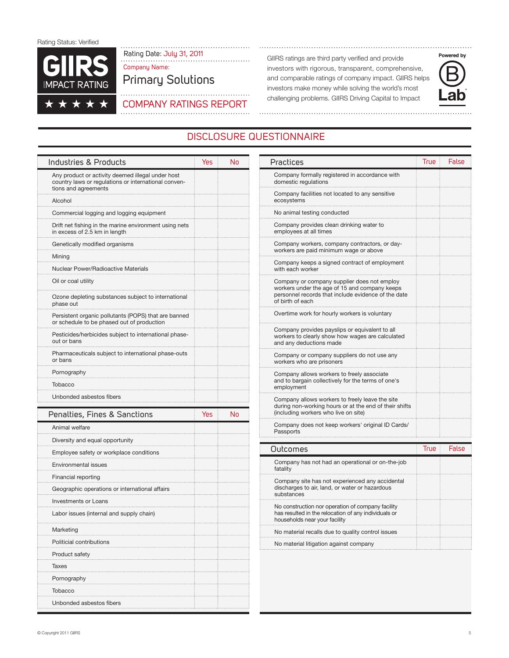

Rating Date: July 31, 2011 (and the Call Catings are third party verified and provide intercomponent contract the Superior Call RS ratings are third party verified and provide Company Name:

# Primary Solutions

. . . . . . . . . . . . . . Company Ratings Report

investors with rigorous, transparent, comprehensive, and comparable ratings of company impact. GIIRS helps investors make money while solving the world's most challenging problems. GIIRS Driving Capital to Impact

Practices **True False** 



# Disclosure Questionnaire

| Industries & Products                                                                                                             | Yes | No |
|-----------------------------------------------------------------------------------------------------------------------------------|-----|----|
| Any product or activity deemed illegal under host<br>country laws or regulations or international conven-<br>tions and agreements |     |    |
| Alcohol                                                                                                                           |     |    |
| Commercial logging and logging equipment                                                                                          |     |    |
| Drift net fishing in the marine environment using nets<br>in excess of 2.5 km in length                                           |     |    |
| Genetically modified organisms                                                                                                    |     |    |
| Mining                                                                                                                            |     |    |
| Nuclear Power/Radioactive Materials                                                                                               |     |    |
| Oil or coal utility                                                                                                               |     |    |
| Ozone depleting substances subject to international<br>phase out                                                                  |     |    |
| Persistent organic pollutants (POPS) that are banned<br>or schedule to be phased out of production                                |     |    |
| Pesticides/herbicides subject to international phase-<br>out or bans                                                              |     |    |
| Pharmaceuticals subject to international phase-outs<br>or bans                                                                    |     |    |
| Pornography                                                                                                                       |     |    |
| Tobacco                                                                                                                           |     |    |
| Unbonded asbestos fibers                                                                                                          |     |    |
| Penalties, Fines & Sanctions                                                                                                      | Yes | No |
| Animal welfare                                                                                                                    |     |    |
| Diversity and equal opportunity                                                                                                   |     |    |
| Employee safety or workplace conditions                                                                                           |     |    |

| Company formally registered in accordance with<br>domestic regulations                                                                                                  |      |       |
|-------------------------------------------------------------------------------------------------------------------------------------------------------------------------|------|-------|
| Company facilities not located to any sensitive<br>ecosystems                                                                                                           |      |       |
| No animal testing conducted                                                                                                                                             |      |       |
| Company provides clean drinking water to<br>employees at all times                                                                                                      |      |       |
| Company workers, company contractors, or day-<br>workers are paid minimum wage or above                                                                                 |      |       |
| Company keeps a signed contract of employment<br>with each worker                                                                                                       |      |       |
| Company or company supplier does not employ<br>workers under the age of 15 and company keeps<br>personnel records that include evidence of the date<br>of birth of each |      |       |
| Overtime work for hourly workers is voluntary                                                                                                                           |      |       |
| Company provides payslips or equivalent to all<br>workers to clearly show how wages are calculated<br>and any deductions made                                           |      |       |
| Company or company suppliers do not use any<br>workers who are prisoners                                                                                                |      |       |
| Company allows workers to freely associate<br>and to bargain collectively for the terms of one's<br>employment                                                          |      |       |
| Company allows workers to freely leave the site<br>during non-working hours or at the end of their shifts<br>(including workers who live on site)                       |      |       |
| Company does not keep workers' original ID Cards/<br>Passports                                                                                                          |      |       |
| Outcomes                                                                                                                                                                | True | False |
| Company has not had an operational or on-the-job<br>fatality                                                                                                            |      |       |
| Company site has not experienced any accidental<br>discharges to air, land, or water or hazardous<br>substances                                                         |      |       |
| No construction nor operation of company facility<br>has resulted in the relocation of any individuals or<br>households near your facility                              |      |       |
| No material recalls due to quality control issues                                                                                                                       |      |       |
| No material litigation against company                                                                                                                                  |      |       |
|                                                                                                                                                                         |      |       |

Environmental issues Financial reporting

Investments or Loans

Politicial contributions Product safety Taxes Pornography Tobacco

Unbonded asbestos fibers

Marketing

Geographic operations or international affairs

Labor issues (internal and supply chain)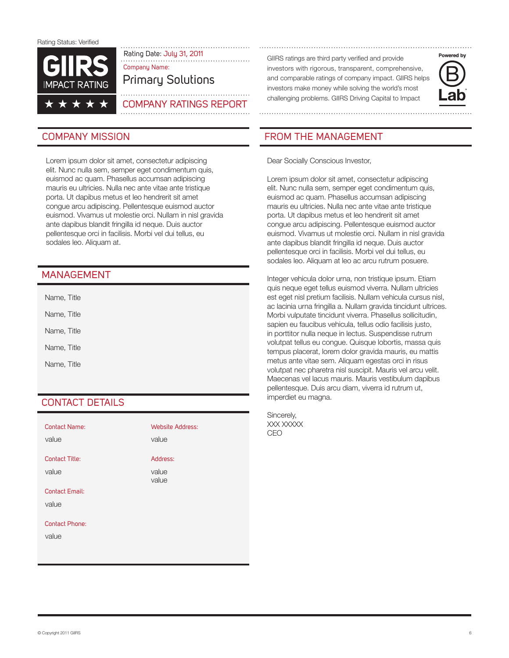

Rating Date: July 31, 2011<br>

GIIRS ratings are third party verified and provide<br>
GIIRS ratings are third party verified and provide Company Name:

Primary Solutions

## . . . . . . . . . . . . Company Ratings Report

Lorem ipsum dolor sit amet, consectetur adipiscing elit. Nunc nulla sem, semper eget condimentum quis, euismod ac quam. Phasellus accumsan adipiscing mauris eu ultricies. Nulla nec ante vitae ante tristique porta. Ut dapibus metus et leo hendrerit sit amet congue arcu adipiscing. Pellentesque euismod auctor euismod. Vivamus ut molestie orci. Nullam in nisl gravida ante dapibus blandit fringilla id neque. Duis auctor pellentesque orci in facilisis. Morbi vel dui tellus, eu sodales leo. Aliquam at.

## **MANAGEMENT**

Name, Title Name, Title Name, Title Name, Title

Name, Title

# CONTACT DETAILS

| <b>Contact Name:</b><br>value | <b>Website Address:</b><br>value |
|-------------------------------|----------------------------------|
| <b>Contact Title:</b>         | Address:                         |
| value                         | value<br>value                   |
| <b>Contact Email:</b>         |                                  |
| value                         |                                  |
| <b>Contact Phone:</b>         |                                  |
| value                         |                                  |
|                               |                                  |

investors with rigorous, transparent, comprehensive, and comparable ratings of company impact. GIIRS helps investors make money while solving the world's most challenging problems. GIIRS Driving Capital to Impact



# COMPANY MISSION **FROM THE MANAGEMENT**

Dear Socially Conscious Investor,

Lorem ipsum dolor sit amet, consectetur adipiscing elit. Nunc nulla sem, semper eget condimentum quis, euismod ac quam. Phasellus accumsan adipiscing mauris eu ultricies. Nulla nec ante vitae ante tristique porta. Ut dapibus metus et leo hendrerit sit amet congue arcu adipiscing. Pellentesque euismod auctor euismod. Vivamus ut molestie orci. Nullam in nisl gravida ante dapibus blandit fringilla id neque. Duis auctor pellentesque orci in facilisis. Morbi vel dui tellus, eu sodales leo. Aliquam at leo ac arcu rutrum posuere.

Integer vehicula dolor urna, non tristique ipsum. Etiam quis neque eget tellus euismod viverra. Nullam ultricies est eget nisl pretium facilisis. Nullam vehicula cursus nisl, ac lacinia urna fringilla a. Nullam gravida tincidunt ultrices. Morbi vulputate tincidunt viverra. Phasellus sollicitudin, sapien eu faucibus vehicula, tellus odio facilisis justo, in porttitor nulla neque in lectus. Suspendisse rutrum volutpat tellus eu congue. Quisque lobortis, massa quis tempus placerat, lorem dolor gravida mauris, eu mattis metus ante vitae sem. Aliquam egestas orci in risus volutpat nec pharetra nisl suscipit. Mauris vel arcu velit. Maecenas vel lacus mauris. Mauris vestibulum dapibus pellentesque. Duis arcu diam, viverra id rutrum ut, imperdiet eu magna.

Sincerely, XXX XXXXX CEO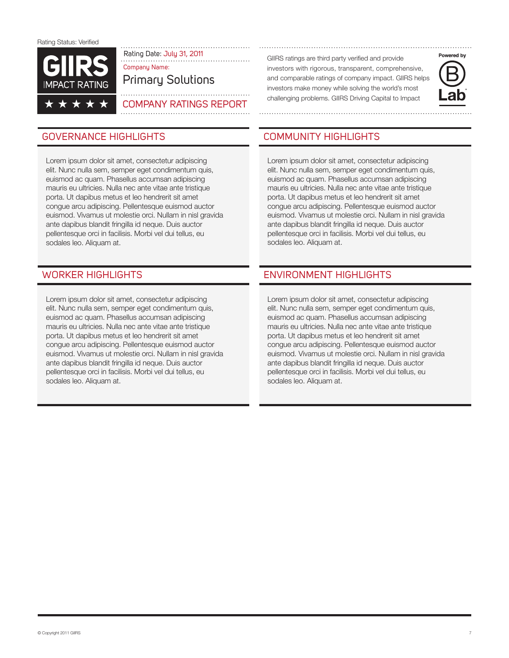

Rating Date: July 31, 2011<br>

GIIRS ratings are third party verified and provide<br>

GIIRS ratings are third party verified and provide Company Name:

Primary Solutions

## . . . . . . . . . . . . . . Company Ratings Report

# GOVERNANCE HIGHLIGHTS COMMUNITY HIGHLIGHTS

Lorem ipsum dolor sit amet, consectetur adipiscing elit. Nunc nulla sem, semper eget condimentum quis, euismod ac quam. Phasellus accumsan adipiscing mauris eu ultricies. Nulla nec ante vitae ante tristique porta. Ut dapibus metus et leo hendrerit sit amet congue arcu adipiscing. Pellentesque euismod auctor euismod. Vivamus ut molestie orci. Nullam in nisl gravida ante dapibus blandit fringilla id neque. Duis auctor pellentesque orci in facilisis. Morbi vel dui tellus, eu sodales leo. Aliquam at.

Lorem ipsum dolor sit amet, consectetur adipiscing elit. Nunc nulla sem, semper eget condimentum quis, euismod ac quam. Phasellus accumsan adipiscing mauris eu ultricies. Nulla nec ante vitae ante tristique porta. Ut dapibus metus et leo hendrerit sit amet congue arcu adipiscing. Pellentesque euismod auctor euismod. Vivamus ut molestie orci. Nullam in nisl gravida ante dapibus blandit fringilla id neque. Duis auctor pellentesque orci in facilisis. Morbi vel dui tellus, eu sodales leo. Aliquam at.

investors with rigorous, transparent, comprehensive, and comparable ratings of company impact. GIIRS helps investors make money while solving the world's most challenging problems. GIIRS Driving Capital to Impact



Lorem ipsum dolor sit amet, consectetur adipiscing elit. Nunc nulla sem, semper eget condimentum quis, euismod ac quam. Phasellus accumsan adipiscing mauris eu ultricies. Nulla nec ante vitae ante tristique porta. Ut dapibus metus et leo hendrerit sit amet congue arcu adipiscing. Pellentesque euismod auctor euismod. Vivamus ut molestie orci. Nullam in nisl gravida ante dapibus blandit fringilla id neque. Duis auctor pellentesque orci in facilisis. Morbi vel dui tellus, eu sodales leo. Aliquam at.

# Worker Highlights Environment Highlights

Lorem ipsum dolor sit amet, consectetur adipiscing elit. Nunc nulla sem, semper eget condimentum quis, euismod ac quam. Phasellus accumsan adipiscing mauris eu ultricies. Nulla nec ante vitae ante tristique porta. Ut dapibus metus et leo hendrerit sit amet congue arcu adipiscing. Pellentesque euismod auctor euismod. Vivamus ut molestie orci. Nullam in nisl gravida ante dapibus blandit fringilla id neque. Duis auctor pellentesque orci in facilisis. Morbi vel dui tellus, eu sodales leo. Aliquam at.